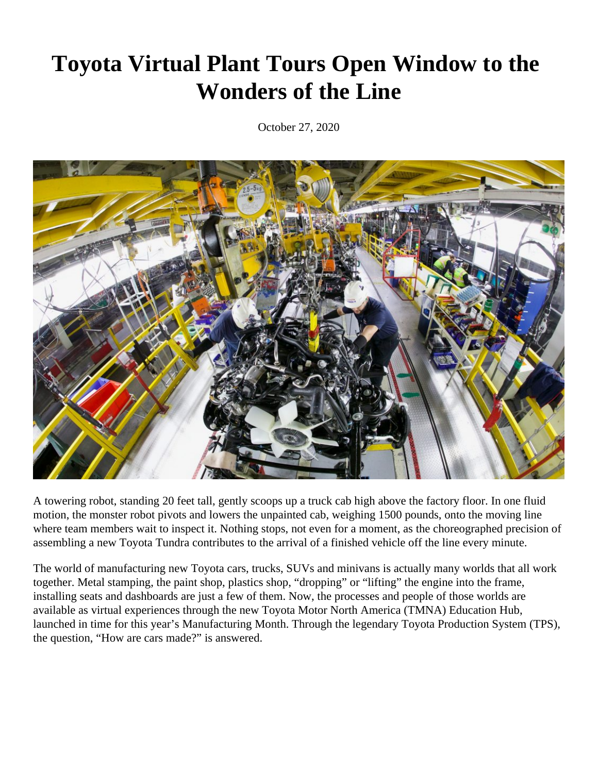# **Toyota Virtual Plant Tours Open Window to the Wonders of the Line**

October 27, 2020



A towering robot, standing 20 feet tall, gently scoops up a truck cab high above the factory floor. In one fluid motion, the monster robot pivots and lowers the unpainted cab, weighing 1500 pounds, onto the moving line where team members wait to inspect it. Nothing stops, not even for a moment, as the choreographed precision of assembling a new Toyota Tundra contributes to the arrival of a finished vehicle off the line every minute.

The world of manufacturing new Toyota cars, trucks, SUVs and minivans is actually many worlds that all work together. Metal stamping, the paint shop, plastics shop, "dropping" or "lifting" the engine into the frame, installing seats and dashboards are just a few of them. Now, the processes and people of those worlds are available as virtual experiences through the new Toyota Motor North America (TMNA) Education Hub, launched in time for this year's Manufacturing Month. Through the legendary Toyota Production System (TPS), the question, "How are cars made?" is answered.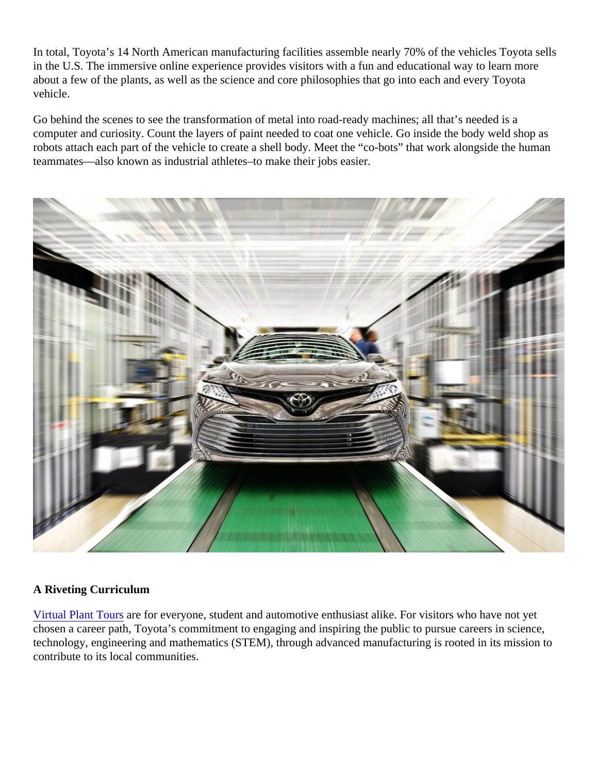In total, Toyota's 14 North American manufacturing facilities assemble nearly 70% of the vehicles Toyota sell in the U.S. The immersive online experience provides visitors with a fun and educational way to learn more about a few of the plants, as well as the science and core philosophies that go into each and every Toyota vehicle.

Go behind the scenes to see the transformation of metal into road-ready machines; all that's needed is a computer and curiosity. Count the layers of paint needed to coat one vehicle. Go inside the body weld shop a robots attach each part of the vehicle to create a shell body. Meet the "co-bots" that work alongside the huma teammates—also known as industrial athletes–to make their jobs easier.

### A Riveting Curriculum

[Virtual Plant Tours](https://tourtoyota.com/#/home) are for everyone, student and automotive enthusiast alike. For visitors who have not yet chosen a career path, Toyota's commitment to engaging and inspiring the public to pursue careers in science, technology, engineering and mathematics (STEM), through advanced manufacturing is rooted in its mission t contribute to its local communities.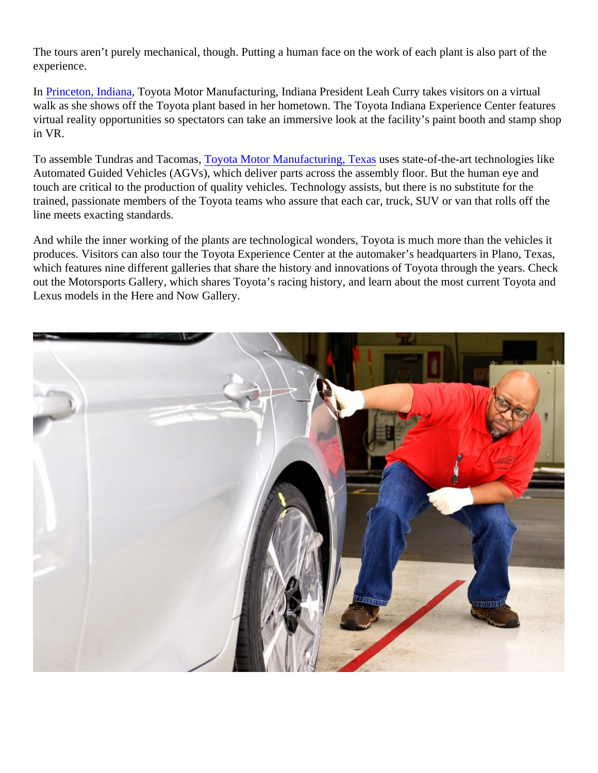The tours aren't purely mechanical, though. Putting a human face on the work of each plant is also part of the experience.

In [Princeton, Indian](https://tourtoyota.com/#/tmmivr)aToyota Motor Manufacturing[,](https://tourtoyota.com/#/tmmivr) Indiana President Leah Curry takes visitors on a virtual walk as she shows off the Toyota plant based in her hometown. The Toyota Indiana Experience Center feature virtual reality opportunities so spectators can take an immersive look at the facility's paint booth and stamp sh in VR.

To assemble Tundras and Tacomas ota Motor Manufacturing, Texasses state-of-the-art technologies like Automated Guided Vehicles (AGVs), which deliver parts across the assembly floor. But the human eye and touch are critical to the production of quality vehicles. Technology assists, but there is no substitute for the trained, passionate members of the Toyota teams who assure that each car, truck, SUV or van that rolls off the line meets exacting standards.

And while the inner working of the plants are technological wonders, Toyota is much more than the vehicles it produces. Visitors can also tour the Toyota Experience Center at the automaker's headquarters in Plano, Tex which features nine different galleries that share the history and innovations of Toyota through the years. Che out the Motorsports Gallery, which shares Toyota's racing history, and learn about the most current Toyota are Lexus models in the Here and Now Gallery.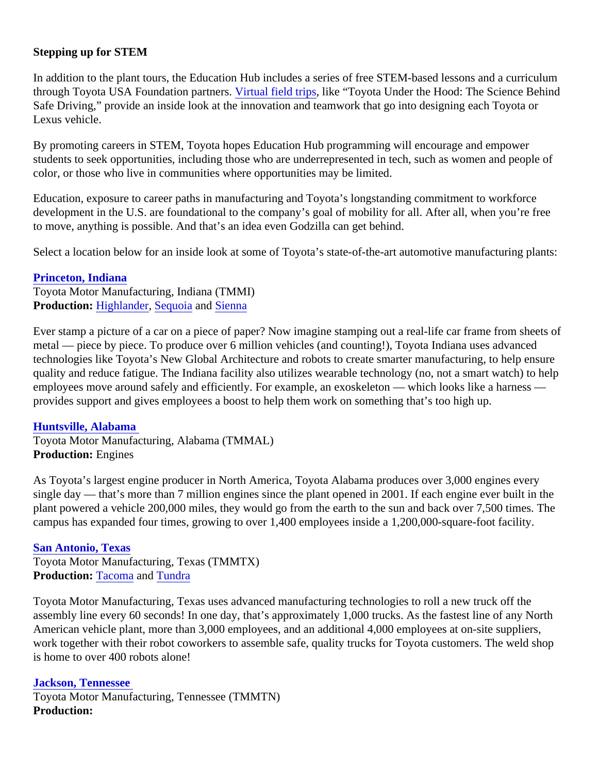## Stepping up for STEM

In addition to the plant tours, the Education Hub includes a series of free STEM-based lessons and a curricul through Toyota USA Foundation partneristual field trips, like "Toyota Under the Hood: The Science Behind Safe Driving," provide an inside look at the innovation and teamwork that go into designing each Toyota or Lexus vehicle.

By promoting careers in STEM, Toyota hopes Education Hub programming will encourage and empower students to seek opportunities, including those who are underrepresented in tech, such as women and people color, or those who live in communities where opportunities may be limited.

Education, exposure to career paths in manufacturing and Toyota's longstanding commitment to workforce development in the U.S. are foundational to the company's goal of mobility for all. After all, when you're free to move, anything is possible. And that's an idea even Godzilla can get behind.

Select a location below for an inside look at some of Toyota's state-of-the-art automotive manufacturing plant

[Princeton, Indiana](https://tourtoyota.com/#/tmmivr) Toyota Motor Manufacturing, Indiana (TMMI) Production: [Highlande](https://pressroom.toyota.com/vehicle/2021-toyota-highlander/)r [Sequoia](https://pressroom.toyota.com/vehicle/2021-toyota-sequoia/) an[d Sienna](https://pressroom.toyota.com/vehicle/2021-toyota-sienna/)

Ever stamp a picture of a car on a piece of paper? Now imagine stamping out a real-life car frame from sheet metal — piece by piece. To produce over 6 million vehicles (and counting!), Toyota Indiana uses advanced technologies like Toyota's New Global Architecture and robots to create smarter manufacturing, to help ensure quality and reduce fatigue. The Indiana facility also utilizes wearable technology (no, not a smart watch) to he employees move around safely and efficiently. For example, an exoskeleton — which looks like a harness provides support and gives employees a boost to help them work on something that's too high up.

### [Huntsville, Alabama](https://tourtoyota.com/#/tmmalvr)

Toyota Motor Manufacturing, Alabama (TMMAL) Production: Engines

As Toyota's largest engine producer in North America, Toyota Alabama produces over 3,000 engines every single day — that's more than 7 million engines since the plant opened in 2001. If each engine ever built in th plant powered a vehicle 200,000 miles, they would go from the earth to the sun and back over 7,500 times. T campus has expanded four times, growing to over 1,400 employees inside a 1,200,000-square-foot facility.

#### [San Antonio, Texas](https://tourtoyota.com/#/tmmtxvr)

Toyota Motor Manufacturing, Texas (TMMTX) Production: [Tacoma](https://pressroom.toyota.com/vehicle/2021-toyota-tacoma/)an[d Tundra](https://pressroom.toyota.com/vehicle/2021-toyota-tundra/)

Toyota Motor Manufacturing, Texas uses advanced manufacturing technologies to roll a new truck off the assembly line every 60 seconds! In one day, that's approximately 1,000 trucks. As the fastest line of any Nort American vehicle plant, more than 3,000 employees, and an additional 4,000 employees at on-site suppliers, work together with their robot coworkers to assemble safe, quality trucks for Toyota customers. The weld sho is home to over 400 robots alone!

[Jackson, Tennesse](https://tourtoyota.com/#/tmmtnvr)e Toyota Motor Manufacturing, Tennessee (TMMTN) Production: